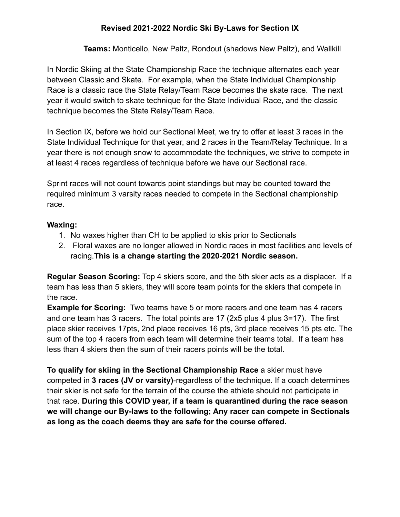## **Revised 2021-2022 Nordic Ski By-Laws for Section IX**

**Teams:** Monticello, New Paltz, Rondout (shadows New Paltz), and Wallkill

In Nordic Skiing at the State Championship Race the technique alternates each year between Classic and Skate. For example, when the State Individual Championship Race is a classic race the State Relay/Team Race becomes the skate race. The next year it would switch to skate technique for the State Individual Race, and the classic technique becomes the State Relay/Team Race.

In Section IX, before we hold our Sectional Meet, we try to offer at least 3 races in the State Individual Technique for that year, and 2 races in the Team/Relay Technique. In a year there is not enough snow to accommodate the techniques, we strive to compete in at least 4 races regardless of technique before we have our Sectional race.

Sprint races will not count towards point standings but may be counted toward the required minimum 3 varsity races needed to compete in the Sectional championship race.

## **Waxing:**

- 1. No waxes higher than CH to be applied to skis prior to Sectionals
- 2. Floral waxes are no longer allowed in Nordic races in most facilities and levels of racing.**This is a change starting the 2020-2021 Nordic season.**

**Regular Season Scoring:** Top 4 skiers score, and the 5th skier acts as a displacer. If a team has less than 5 skiers, they will score team points for the skiers that compete in the race.

**Example for Scoring:** Two teams have 5 or more racers and one team has 4 racers and one team has 3 racers. The total points are 17 (2x5 plus 4 plus 3=17). The first place skier receives 17pts, 2nd place receives 16 pts, 3rd place receives 15 pts etc. The sum of the top 4 racers from each team will determine their teams total. If a team has less than 4 skiers then the sum of their racers points will be the total.

**To qualify for skiing in the Sectional Championship Race** a skier must have competed in **3 races (JV or varsity)**-regardless of the technique. If a coach determines their skier is not safe for the terrain of the course the athlete should not participate in that race. **During this COVID year, if a team is quarantined during the race season we will change our By-laws to the following; Any racer can compete in Sectionals as long as the coach deems they are safe for the course offered.**